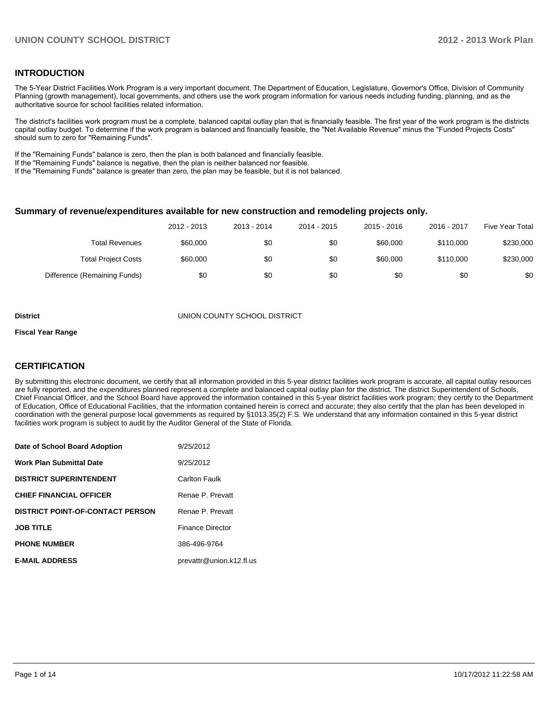# **INTRODUCTION**

The 5-Year District Facilities Work Program is a very important document. The Department of Education, Legislature, Governor's Office, Division of Community Planning (growth management), local governments, and others use the work program information for various needs including funding, planning, and as the authoritative source for school facilities related information.

The district's facilities work program must be a complete, balanced capital outlay plan that is financially feasible. The first year of the work program is the districts capital outlay budget. To determine if the work program is balanced and financially feasible, the "Net Available Revenue" minus the "Funded Projects Costs" should sum to zero for "Remaining Funds".

If the "Remaining Funds" balance is zero, then the plan is both balanced and financially feasible.

If the "Remaining Funds" balance is negative, then the plan is neither balanced nor feasible.

If the "Remaining Funds" balance is greater than zero, the plan may be feasible, but it is not balanced.

### **Summary of revenue/expenditures available for new construction and remodeling projects only.**

| <b>Five Year Total</b> | 2016 - 2017 | 2015 - 2016 | 2014 - 2015 | 2013 - 2014 | 2012 - 2013 |                              |
|------------------------|-------------|-------------|-------------|-------------|-------------|------------------------------|
| \$230,000              | \$110,000   | \$60,000    | \$0         | \$0         | \$60,000    | <b>Total Revenues</b>        |
| \$230,000              | \$110,000   | \$60,000    | \$0         | \$0         | \$60,000    | <b>Total Project Costs</b>   |
| \$0                    | \$0         | \$0         | \$0         | \$0         | \$0         | Difference (Remaining Funds) |

#### **District** UNION COUNTY SCHOOL DISTRICT

#### **Fiscal Year Range**

# **CERTIFICATION**

By submitting this electronic document, we certify that all information provided in this 5-year district facilities work program is accurate, all capital outlay resources are fully reported, and the expenditures planned represent a complete and balanced capital outlay plan for the district. The district Superintendent of Schools, Chief Financial Officer, and the School Board have approved the information contained in this 5-year district facilities work program; they certify to the Department of Education, Office of Educational Facilities, that the information contained herein is correct and accurate; they also certify that the plan has been developed in coordination with the general purpose local governments as required by §1013.35(2) F.S. We understand that any information contained in this 5-year district facilities work program is subject to audit by the Auditor General of the State of Florida.

| Date of School Board Adoption           | 9/25/2012                |
|-----------------------------------------|--------------------------|
| <b>Work Plan Submittal Date</b>         | 9/25/2012                |
| <b>DISTRICT SUPERINTENDENT</b>          | <b>Carlton Faulk</b>     |
| <b>CHIEF FINANCIAL OFFICER</b>          | Renae P. Prevatt         |
| <b>DISTRICT POINT-OF-CONTACT PERSON</b> | Renae P. Prevatt         |
| <b>JOB TITLE</b>                        | <b>Finance Director</b>  |
| <b>PHONE NUMBER</b>                     | 386-496-9764             |
| <b>E-MAIL ADDRESS</b>                   | prevattr@union.k12.fl.us |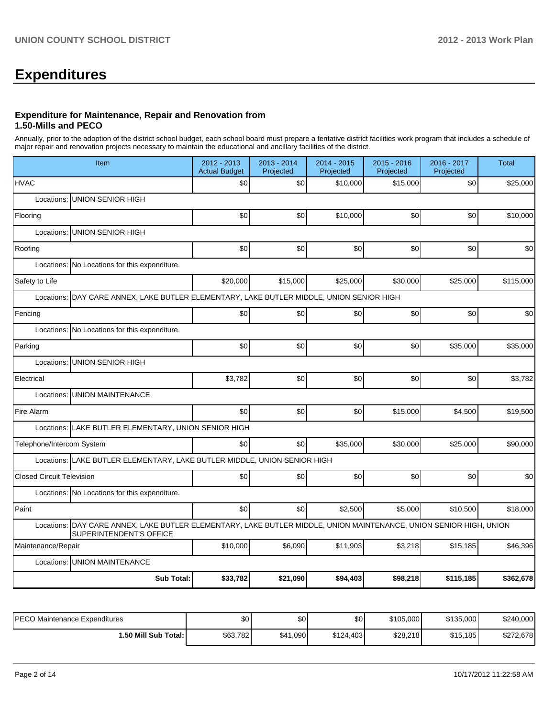# **Expenditures**

### **Expenditure for Maintenance, Repair and Renovation from 1.50-Mills and PECO**

Annually, prior to the adoption of the district school budget, each school board must prepare a tentative district facilities work program that includes a schedule of major repair and renovation projects necessary to maintain the educational and ancillary facilities of the district.

| Item                                                                                                                                          | 2012 - 2013<br><b>Actual Budget</b> | 2013 - 2014<br>Projected | 2014 - 2015<br>Projected | $2015 - 2016$<br>Projected | 2016 - 2017<br>Projected | <b>Total</b> |  |  |  |  |
|-----------------------------------------------------------------------------------------------------------------------------------------------|-------------------------------------|--------------------------|--------------------------|----------------------------|--------------------------|--------------|--|--|--|--|
| <b>HVAC</b>                                                                                                                                   | \$0                                 | \$0                      | \$10,000                 | \$15,000                   | \$0                      | \$25,000     |  |  |  |  |
| <b>UNION SENIOR HIGH</b><br>Locations:                                                                                                        |                                     |                          |                          |                            |                          |              |  |  |  |  |
| Flooring                                                                                                                                      | \$0                                 | \$0                      | \$10,000                 | \$0                        | \$0                      | \$10,000     |  |  |  |  |
| <b>UNION SENIOR HIGH</b><br>Locations:                                                                                                        |                                     |                          |                          |                            |                          |              |  |  |  |  |
| Roofing                                                                                                                                       | \$0                                 | \$0                      | \$0                      | \$0                        | \$0                      | \$0          |  |  |  |  |
| Locations:<br>No Locations for this expenditure.                                                                                              |                                     |                          |                          |                            |                          |              |  |  |  |  |
| Safety to Life                                                                                                                                | \$20,000                            | \$15,000                 | \$25,000                 | \$30,000                   | \$25,000                 | \$115,000    |  |  |  |  |
| DAY CARE ANNEX, LAKE BUTLER ELEMENTARY, LAKE BUTLER MIDDLE, UNION SENIOR HIGH<br>Locations:                                                   |                                     |                          |                          |                            |                          |              |  |  |  |  |
| Fencing                                                                                                                                       | \$0                                 | \$0                      | \$0                      | \$0                        | \$0                      | \$0          |  |  |  |  |
| Locations: No Locations for this expenditure.                                                                                                 |                                     |                          |                          |                            |                          |              |  |  |  |  |
| Parking                                                                                                                                       | \$0                                 | \$0                      | \$0                      | \$0                        | \$35,000                 | \$35,000     |  |  |  |  |
| <b>UNION SENIOR HIGH</b><br>Locations:                                                                                                        |                                     |                          |                          |                            |                          |              |  |  |  |  |
| Electrical                                                                                                                                    | \$3,782                             | \$0                      | \$0                      | \$0                        | \$0                      | \$3,782      |  |  |  |  |
| Locations: UNION MAINTENANCE                                                                                                                  |                                     |                          |                          |                            |                          |              |  |  |  |  |
| Fire Alarm                                                                                                                                    | \$0                                 | \$0                      | \$0                      | \$15,000                   | \$4,500                  | \$19,500     |  |  |  |  |
| Locations: LAKE BUTLER ELEMENTARY, UNION SENIOR HIGH                                                                                          |                                     |                          |                          |                            |                          |              |  |  |  |  |
| Telephone/Intercom System                                                                                                                     | \$0                                 | \$0                      | \$35,000                 | \$30,000                   | \$25,000                 | \$90,000     |  |  |  |  |
| Locations: LAKE BUTLER ELEMENTARY, LAKE BUTLER MIDDLE, UNION SENIOR HIGH                                                                      |                                     |                          |                          |                            |                          |              |  |  |  |  |
| <b>Closed Circuit Television</b>                                                                                                              | \$0                                 | \$0                      | \$0                      | \$0                        | \$0                      | \$0          |  |  |  |  |
| Locations: No Locations for this expenditure.                                                                                                 |                                     |                          |                          |                            |                          |              |  |  |  |  |
| Paint                                                                                                                                         | \$0                                 | \$0                      | \$2,500                  | \$5,000                    | \$10,500                 | \$18,000     |  |  |  |  |
| Locations: DAY CARE ANNEX, LAKE BUTLER ELEMENTARY, LAKE BUTLER MIDDLE, UNION MAINTENANCE, UNION SENIOR HIGH, UNION<br>SUPERINTENDENT'S OFFICE |                                     |                          |                          |                            |                          |              |  |  |  |  |
| Maintenance/Repair                                                                                                                            | \$10,000                            | \$6,090                  | \$11,903                 | \$3,218                    | \$15,185                 | \$46,396     |  |  |  |  |
| Locations:<br><b>UNION MAINTENANCE</b>                                                                                                        |                                     |                          |                          |                            |                          |              |  |  |  |  |
| <b>Sub Total:</b>                                                                                                                             | \$33,782                            | \$21.090                 | \$94.403                 | \$98,218                   | \$115,185                | \$362,678    |  |  |  |  |

| IPECO Maintenance Expenditures | ሶሰ<br>υυ | \$0               | \$0       | \$105,000 | \$135,000 | \$240,000 |
|--------------------------------|----------|-------------------|-----------|-----------|-----------|-----------|
| 1.50 Mill Sub Total: İ         | \$63,782 | $.1,090$ .<br>\$4 | \$124.403 | \$28,218  | \$15,185  | \$272.678 |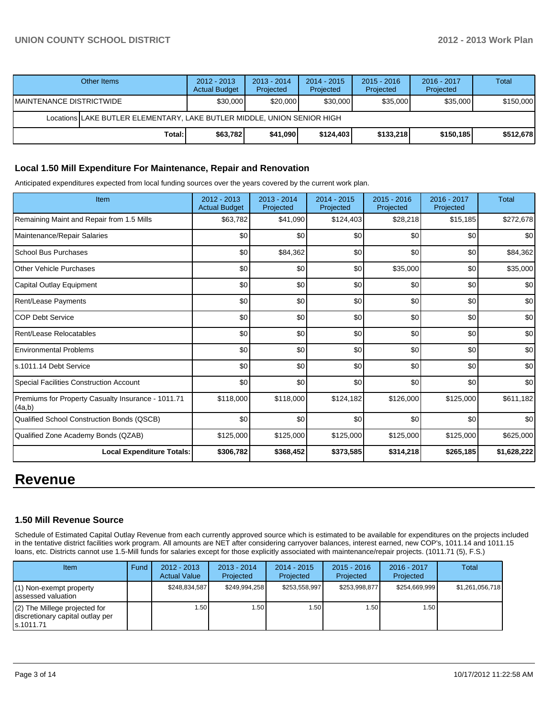# **UNION COUNTY SCHOOL DISTRICT 2012 - 2013 Work Plan**

|                           | Other Items                                                              | $2012 - 2013$<br><b>Actual Budget</b> | $2013 - 2014$<br>Projected | $2014 - 2015$<br>Projected | $2015 - 2016$<br>Projected | 2016 - 2017<br>Projected | Total     |  |  |  |
|---------------------------|--------------------------------------------------------------------------|---------------------------------------|----------------------------|----------------------------|----------------------------|--------------------------|-----------|--|--|--|
| IMAINTENANCE DISTRICTWIDE |                                                                          | \$30,000                              | \$20,000                   | \$30,000                   | \$35,000                   | \$35,000                 | \$150,000 |  |  |  |
|                           | Locations LLAKE BUTLER ELEMENTARY. LAKE BUTLER MIDDLE. UNION SENIOR HIGH |                                       |                            |                            |                            |                          |           |  |  |  |
|                           | Total:                                                                   | \$63,782                              | \$41,090                   | \$124.403                  | \$133.218                  | \$150.185                | \$512,678 |  |  |  |

## **Local 1.50 Mill Expenditure For Maintenance, Repair and Renovation**

Anticipated expenditures expected from local funding sources over the years covered by the current work plan.

| Item                                                         | 2012 - 2013<br><b>Actual Budget</b> | 2013 - 2014<br>Projected | 2014 - 2015<br>Projected | 2015 - 2016<br>Projected | 2016 - 2017<br>Projected | Total       |
|--------------------------------------------------------------|-------------------------------------|--------------------------|--------------------------|--------------------------|--------------------------|-------------|
| Remaining Maint and Repair from 1.5 Mills                    | \$63,782                            | \$41,090                 | \$124,403                | \$28,218                 | \$15,185                 | \$272,678   |
| Maintenance/Repair Salaries                                  | \$0                                 | \$0                      | \$0                      | \$0                      | \$0                      | \$0         |
| <b>School Bus Purchases</b>                                  | \$0                                 | \$84,362                 | \$0                      | \$0                      | \$0                      | \$84,362    |
| <b>Other Vehicle Purchases</b>                               | \$0                                 | \$0                      | \$0                      | \$35,000                 | \$0                      | \$35,000    |
| Capital Outlay Equipment                                     | \$0                                 | \$0                      | \$0                      | \$0                      | \$0                      | \$0         |
| Rent/Lease Payments                                          | \$0                                 | \$0                      | \$0                      | \$0                      | \$0                      | \$0         |
| <b>COP Debt Service</b>                                      | \$0                                 | \$0                      | \$0                      | \$0                      | \$0                      | \$0         |
| Rent/Lease Relocatables                                      | \$0                                 | \$0                      | \$0                      | \$0                      | \$0                      | \$0         |
| <b>Environmental Problems</b>                                | \$0                                 | \$0                      | \$0                      | \$0                      | \$0                      | \$0         |
| ls.1011.14 Debt Service                                      | \$0                                 | \$0                      | \$0                      | \$0                      | \$0                      | \$0         |
| Special Facilities Construction Account                      | \$0                                 | \$0                      | \$0                      | \$0                      | \$0                      | \$0         |
| Premiums for Property Casualty Insurance - 1011.71<br>(4a,b) | \$118,000                           | \$118,000                | \$124,182                | \$126,000                | \$125,000                | \$611,182   |
| Qualified School Construction Bonds (QSCB)                   | \$0                                 | \$0                      | \$0                      | \$0                      | \$0                      | \$0         |
| Qualified Zone Academy Bonds (QZAB)                          | \$125,000                           | \$125,000                | \$125,000                | \$125,000                | \$125,000                | \$625,000   |
| <b>Local Expenditure Totals:</b>                             | \$306,782                           | \$368,452                | \$373,585                | \$314,218                | \$265,185                | \$1,628,222 |

# **Revenue**

## **1.50 Mill Revenue Source**

Schedule of Estimated Capital Outlay Revenue from each currently approved source which is estimated to be available for expenditures on the projects included in the tentative district facilities work program. All amounts are NET after considering carryover balances, interest earned, new COP's, 1011.14 and 1011.15 loans, etc. Districts cannot use 1.5-Mill funds for salaries except for those explicitly associated with maintenance/repair projects. (1011.71 (5), F.S.)

| Item                                                                                | Fund | $2012 - 2013$<br><b>Actual Value</b> | $2013 - 2014$<br>Projected | 2014 - 2015<br>Projected | $2015 - 2016$<br>Projected | $2016 - 2017$<br>Projected | <b>Total</b>    |
|-------------------------------------------------------------------------------------|------|--------------------------------------|----------------------------|--------------------------|----------------------------|----------------------------|-----------------|
| $(1)$ Non-exempt property<br>lassessed valuation                                    |      | \$248.834.587                        | \$249.994.258              | \$253.558.997            | \$253.998.877              | \$254.669.999              | \$1,261,056,718 |
| $(2)$ The Millege projected for<br>I discretionary capital outlay per<br>ls.1011.71 |      | 1.50 l                               | .501                       | 1.50 l                   | 1.50                       | 1.50 l                     |                 |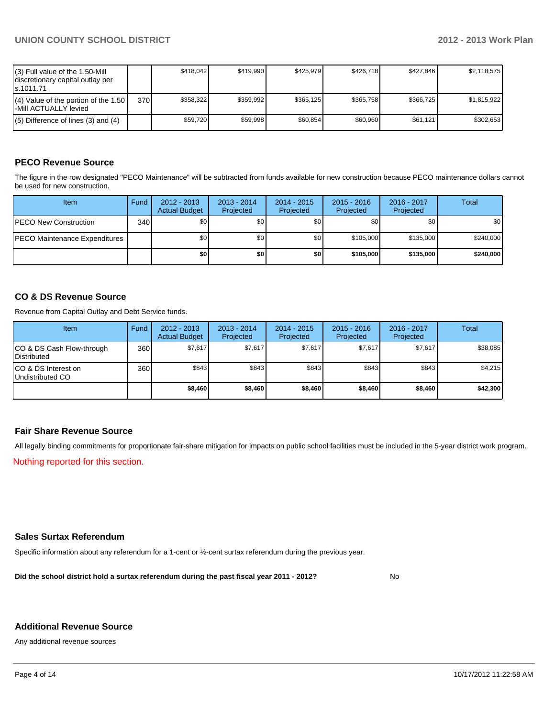| $(3)$ Full value of the 1.50-Mill<br>discretionary capital outlay per<br>ls.1011.71 |     | \$418.042 | \$419.990 | \$425.979 | \$426.718 | \$427.846 | \$2,118,575 |
|-------------------------------------------------------------------------------------|-----|-----------|-----------|-----------|-----------|-----------|-------------|
| $(4)$ Value of the portion of the 1.50<br>I-Mill ACTUALLY levied                    | 370 | \$358.322 | \$359.992 | \$365.125 | \$365.758 | \$366.725 | \$1.815.922 |
| $(5)$ Difference of lines (3) and (4)                                               |     | \$59.720  | \$59.998  | \$60.854  | \$60.960  | \$61.121  | \$302.653   |

# **PECO Revenue Source**

The figure in the row designated "PECO Maintenance" will be subtracted from funds available for new construction because PECO maintenance dollars cannot be used for new construction.

| Item                                  | Fund  | $2012 - 2013$<br><b>Actual Budget</b> | $2013 - 2014$<br>Projected | $2014 - 2015$<br>Projected | $2015 - 2016$<br>Projected | 2016 - 2017<br>Projected | Total     |
|---------------------------------------|-------|---------------------------------------|----------------------------|----------------------------|----------------------------|--------------------------|-----------|
| <b>PECO New Construction</b>          | 340 l | \$0 <sub>1</sub>                      | \$0                        | \$0 <sub>1</sub>           | \$0 <sub>0</sub>           | \$0                      | \$0       |
| <b>IPECO Maintenance Expenditures</b> |       | \$0 <sub>1</sub>                      | \$0                        | \$0                        | \$105,000                  | \$135,000                | \$240,000 |
|                                       |       | \$0                                   | \$0                        | \$0                        | \$105,000                  | \$135,000                | \$240,000 |

# **CO & DS Revenue Source**

Revenue from Capital Outlay and Debt Service funds.

| Item                                               | Fund | $2012 - 2013$<br><b>Actual Budget</b> | $2013 - 2014$<br>Projected | $2014 - 2015$<br>Projected | $2015 - 2016$<br>Projected | $2016 - 2017$<br>Projected | Total    |
|----------------------------------------------------|------|---------------------------------------|----------------------------|----------------------------|----------------------------|----------------------------|----------|
| ICO & DS Cash Flow-through<br><b>I</b> Distributed | 360  | \$7,617                               | \$7.617                    | \$7,617                    | \$7,617                    | \$7,617                    | \$38,085 |
| ICO & DS Interest on<br>Undistributed CO           | 360  | \$843                                 | \$843                      | \$843                      | \$843                      | \$843                      | \$4,215  |
|                                                    |      | \$8,460                               | \$8,460                    | \$8,460                    | \$8,460                    | \$8,460                    | \$42,300 |

# **Fair Share Revenue Source**

All legally binding commitments for proportionate fair-share mitigation for impacts on public school facilities must be included in the 5-year district work program.

Nothing reported for this section.

# **Sales Surtax Referendum**

Specific information about any referendum for a 1-cent or ½-cent surtax referendum during the previous year.

**Did the school district hold a surtax referendum during the past fiscal year 2011 - 2012?**

No

## **Additional Revenue Source**

Any additional revenue sources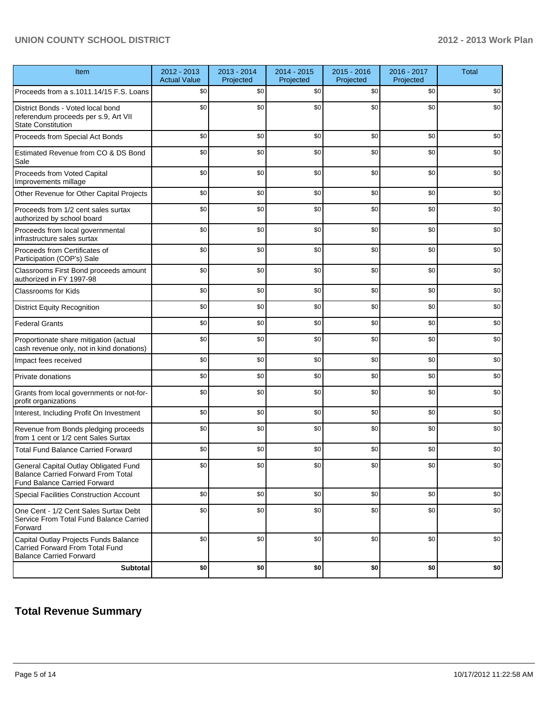# **UNION COUNTY SCHOOL DISTRICT 2012 - 2013 Work Plan**

| Item                                                                                                                      | 2012 - 2013<br><b>Actual Value</b> | 2013 - 2014<br>Projected | 2014 - 2015<br>Projected | 2015 - 2016<br>Projected | 2016 - 2017<br>Projected | <b>Total</b> |
|---------------------------------------------------------------------------------------------------------------------------|------------------------------------|--------------------------|--------------------------|--------------------------|--------------------------|--------------|
| Proceeds from a s.1011.14/15 F.S. Loans                                                                                   | \$0                                | \$0                      | \$0                      | \$0                      | \$0                      | \$0          |
| District Bonds - Voted local bond<br>referendum proceeds per s.9, Art VII<br><b>State Constitution</b>                    | \$0                                | \$0                      | \$0                      | \$0                      | \$0                      | \$0          |
| Proceeds from Special Act Bonds                                                                                           | \$0                                | \$0                      | \$0                      | \$0                      | \$0                      | \$0          |
| Estimated Revenue from CO & DS Bond<br>Sale                                                                               | \$0                                | \$0                      | \$0                      | \$0                      | \$0                      | \$0          |
| Proceeds from Voted Capital<br>Improvements millage                                                                       | \$0                                | \$0                      | \$0                      | \$0                      | \$0                      | \$0          |
| Other Revenue for Other Capital Projects                                                                                  | \$0                                | \$0                      | \$0                      | \$0                      | \$0                      | \$0          |
| Proceeds from 1/2 cent sales surtax<br>authorized by school board                                                         | \$0                                | \$0                      | \$0                      | \$0                      | \$0                      | \$0          |
| Proceeds from local governmental<br>infrastructure sales surtax                                                           | \$0                                | \$0                      | \$0                      | \$0                      | \$0                      | \$0          |
| Proceeds from Certificates of<br>Participation (COP's) Sale                                                               | \$0                                | \$0                      | \$0                      | \$0                      | \$0                      | \$0          |
| Classrooms First Bond proceeds amount<br>authorized in FY 1997-98                                                         | \$0                                | \$0                      | \$0                      | \$0                      | \$0                      | \$0          |
| <b>Classrooms for Kids</b>                                                                                                | \$0                                | \$0                      | \$0                      | \$0                      | \$0                      | \$0          |
| <b>District Equity Recognition</b>                                                                                        | \$0                                | \$0                      | \$0                      | \$0                      | \$0                      | \$0          |
| <b>Federal Grants</b>                                                                                                     | \$0                                | \$0                      | \$0                      | \$0                      | \$0                      | \$0          |
| Proportionate share mitigation (actual<br>cash revenue only, not in kind donations)                                       | \$0                                | \$0                      | \$0                      | \$0                      | \$0                      | \$0          |
| Impact fees received                                                                                                      | \$0                                | \$0                      | \$0                      | \$0                      | \$0                      | \$0          |
| Private donations                                                                                                         | \$0                                | \$0                      | \$0                      | \$0                      | \$0                      | \$0          |
| Grants from local governments or not-for-<br>profit organizations                                                         | \$0                                | \$0                      | \$0                      | \$0                      | \$0                      | \$0          |
| Interest, Including Profit On Investment                                                                                  | \$0                                | \$0                      | \$0                      | \$0                      | \$0                      | \$0          |
| Revenue from Bonds pledging proceeds<br>from 1 cent or 1/2 cent Sales Surtax                                              | \$0                                | \$0                      | \$0                      | \$0                      | \$0                      | \$0          |
| <b>Total Fund Balance Carried Forward</b>                                                                                 | \$0                                | \$0                      | \$0                      | \$0                      | \$0                      | \$0          |
| General Capital Outlay Obligated Fund<br><b>Balance Carried Forward From Total</b><br><b>Fund Balance Carried Forward</b> | \$0                                | \$0                      | \$0                      | \$0                      | \$0                      | \$0          |
| <b>Special Facilities Construction Account</b>                                                                            | \$0                                | \$0                      | \$0                      | \$0                      | \$0                      | \$0          |
| One Cent - 1/2 Cent Sales Surtax Debt<br>Service From Total Fund Balance Carried<br>Forward                               | \$0                                | \$0                      | \$0                      | \$0                      | \$0                      | \$0          |
| Capital Outlay Projects Funds Balance<br>Carried Forward From Total Fund<br><b>Balance Carried Forward</b>                | \$0                                | \$0                      | \$0                      | \$0                      | \$0                      | \$0          |
| <b>Subtotal</b>                                                                                                           | \$0                                | \$0                      | \$0                      | \$0                      | \$0                      | $$0\,$       |

# **Total Revenue Summary**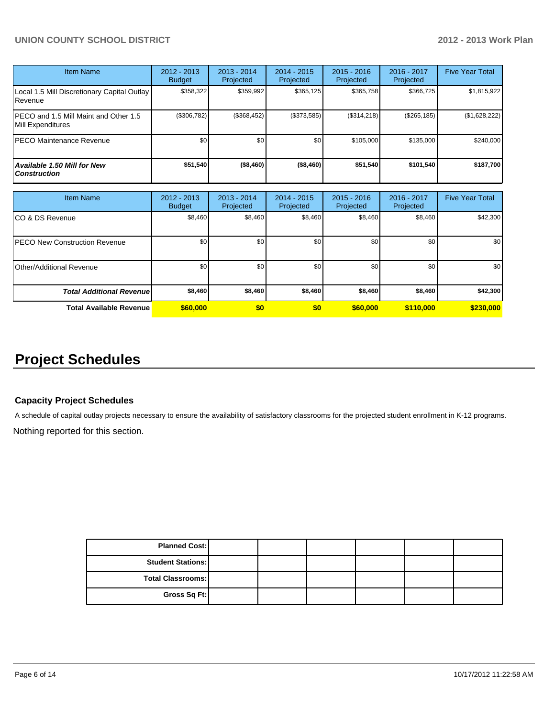# **UNION COUNTY SCHOOL DISTRICT 2012 - 2013 Work Plan**

| <b>Item Name</b>                                           | 2012 - 2013<br><b>Budget</b> | $2013 - 2014$<br>Projected | $2014 - 2015$<br><b>Projected</b> | $2015 - 2016$<br>Projected | $2016 - 2017$<br>Projected | <b>Five Year Total</b> |
|------------------------------------------------------------|------------------------------|----------------------------|-----------------------------------|----------------------------|----------------------------|------------------------|
| Local 1.5 Mill Discretionary Capital Outlay<br>Revenue     | \$358,322                    | \$359,992                  | \$365,125                         | \$365,758                  | \$366,725                  | \$1,815,922            |
| PECO and 1.5 Mill Maint and Other 1.5<br>Mill Expenditures | (\$306,782)                  | (\$368,452)                | (\$373,585)                       | (S314, 218)                | $(\$265, 185)$             | (\$1,628,222)          |
| <b>PECO Maintenance Revenue</b>                            | \$0                          | \$0                        | \$0                               | \$105,000                  | \$135,000                  | \$240.000              |
| Available 1.50 Mill for New<br><b>Construction</b>         | \$51,540                     | (\$8,460)                  | (\$8,460)                         | \$51,540                   | \$101,540                  | \$187,700              |

| <b>Item Name</b>                  | 2012 - 2013<br><b>Budget</b> | $2013 - 2014$<br>Projected | $2014 - 2015$<br>Projected | $2015 - 2016$<br>Projected | 2016 - 2017<br>Projected | <b>Five Year Total</b> |
|-----------------------------------|------------------------------|----------------------------|----------------------------|----------------------------|--------------------------|------------------------|
| ICO & DS Revenue                  | \$8,460                      | \$8,460                    | \$8,460                    | \$8,460                    | \$8,460                  | \$42,300               |
| IPECO New Construction Revenue    | \$0                          | \$0                        | \$0                        | \$0                        | \$0                      | \$0 <sub>1</sub>       |
| <b>I</b> Other/Additional Revenue | \$0                          | \$0                        | \$0                        | \$0                        | \$0                      | \$0 <sub>1</sub>       |
| <b>Total Additional Revenuel</b>  | \$8,460                      | \$8,460                    | \$8,460                    | \$8,460                    | \$8,460                  | \$42,300               |
| <b>Total Available Revenue</b>    | \$60,000                     | \$0                        | \$0                        | \$60,000                   | \$110,000                | \$230,000              |

# **Project Schedules**

# **Capacity Project Schedules**

A schedule of capital outlay projects necessary to ensure the availability of satisfactory classrooms for the projected student enrollment in K-12 programs.

Nothing reported for this section.

| <b>Planned Cost:</b>     |  |  |  |
|--------------------------|--|--|--|
| <b>Student Stations:</b> |  |  |  |
| Total Classrooms:        |  |  |  |
| Gross Sq Ft:             |  |  |  |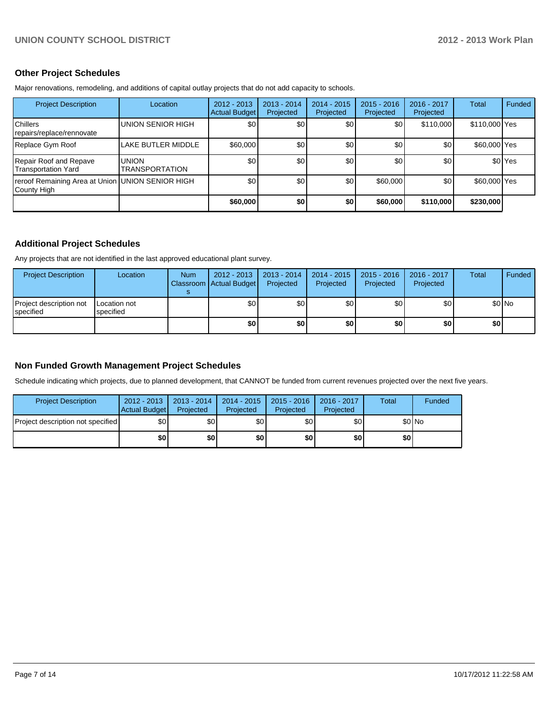# **Other Project Schedules**

Major renovations, remodeling, and additions of capital outlay projects that do not add capacity to schools.

| <b>Project Description</b>                                      | Location                       | $2012 - 2013$<br>Actual Budget | $2013 - 2014$<br>Projected | $2014 - 2015$<br>Projected | $2015 - 2016$<br>Projected | 2016 - 2017<br>Projected | Total         | Funded             |
|-----------------------------------------------------------------|--------------------------------|--------------------------------|----------------------------|----------------------------|----------------------------|--------------------------|---------------|--------------------|
| <b>I</b> Chillers<br>repairs/replace/rennovate                  | UNION SENIOR HIGH              | \$0                            | \$0 <sub>0</sub>           | \$0                        | \$0                        | \$110,000                | \$110,000 Yes |                    |
| Replace Gym Roof                                                | LAKE BUTLER MIDDLE             | \$60,000                       | \$0                        | \$0                        | \$0                        | \$0                      | \$60,000 Yes  |                    |
| Repair Roof and Repave<br>Transportation Yard                   | <b>UNION</b><br>TRANSPORTATION | \$0                            | \$0                        | \$0 <sub>0</sub>           | \$0                        | \$0 <sub>1</sub>         |               | \$0 <sup>Yes</sup> |
| reroof Remaining Area at Union UNION SENIOR HIGH<br>County High |                                | \$0                            | \$0                        | \$0                        | \$60,000                   | \$0                      | \$60,000 Yes  |                    |
|                                                                 |                                | \$60,000                       | \$0                        | \$0                        | \$60,000                   | \$110,000                | \$230,000     |                    |

# **Additional Project Schedules**

Any projects that are not identified in the last approved educational plant survey.

| <b>Project Description</b>                    | Location                  | <b>Num</b> | $2012 - 2013$<br>Classroom Actual Budget | 2013 - 2014<br>Projected | $2014 - 2015$<br>Projected | 2015 - 2016<br>Projected | 2016 - 2017<br>Projected | Total | Funded |
|-----------------------------------------------|---------------------------|------------|------------------------------------------|--------------------------|----------------------------|--------------------------|--------------------------|-------|--------|
| Project description not<br><b>I</b> specified | Location not<br>specified |            | \$0                                      | \$0                      | \$0                        | \$0                      | \$0                      |       | \$0 No |
|                                               |                           |            | \$0                                      | \$0                      | \$0                        | \$0                      | \$0                      | \$0 I |        |

# **Non Funded Growth Management Project Schedules**

Schedule indicating which projects, due to planned development, that CANNOT be funded from current revenues projected over the next five years.

| <b>Project Description</b>        | 2012 - 2013<br>Actual Budget | 2013 - 2014<br>Projected | 2014 - 2015<br>Projected | 2015 - 2016<br>Projected | 2016 - 2017<br>Projected | Total | Funded |
|-----------------------------------|------------------------------|--------------------------|--------------------------|--------------------------|--------------------------|-------|--------|
| Project description not specified | \$0                          | \$0 <sub>1</sub>         | \$0 <sub>1</sub>         | \$0l                     | \$0                      |       | \$0 No |
|                                   | \$0                          | \$0                      | \$0                      | \$O I                    | \$0                      | \$0   |        |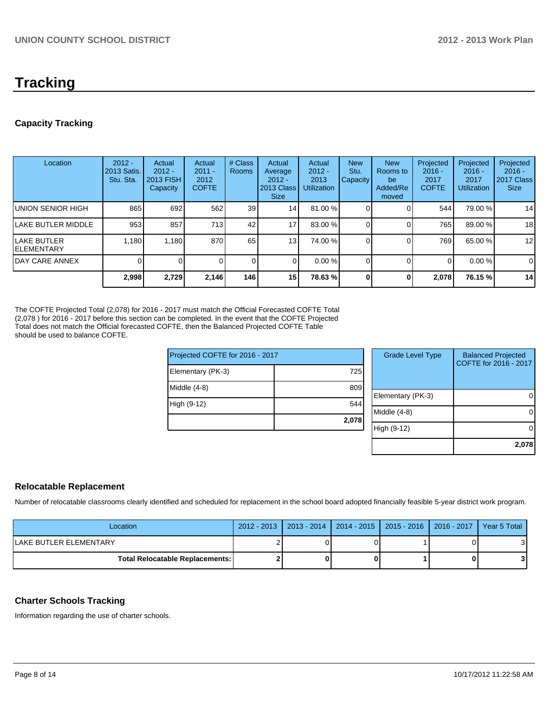# **Tracking**

# **Capacity Tracking**

| Location                           | $2012 -$<br>2013 Satis.<br>Stu. Sta. | Actual<br>$2012 -$<br>2013 FISH<br>Capacity | Actual<br>$2011 -$<br>2012<br><b>COFTE</b> | # Class<br><b>Rooms</b> | Actual<br>Average<br>$2012 -$<br>2013 Class<br><b>Size</b> | Actual<br>$2012 -$<br>2013<br><b>Utilization</b> | <b>New</b><br>Stu.<br><b>Capacity</b> | <b>New</b><br>Rooms to<br>be<br>Added/Re<br>moved | Projected<br>$2016 -$<br>2017<br><b>COFTE</b> | Projected<br>$2016 -$<br>2017<br><b>Utilization</b> | Projected<br>$2016 -$<br>2017 Class<br><b>Size</b> |
|------------------------------------|--------------------------------------|---------------------------------------------|--------------------------------------------|-------------------------|------------------------------------------------------------|--------------------------------------------------|---------------------------------------|---------------------------------------------------|-----------------------------------------------|-----------------------------------------------------|----------------------------------------------------|
| <b>UNION SENIOR HIGH</b>           | 865                                  | 692                                         | 562                                        | 39 <sub>l</sub>         | 14 <sub>1</sub>                                            | 81.00 %                                          |                                       |                                                   | 544                                           | 79.00 %                                             | 14                                                 |
| LAKE BUTLER MIDDLE                 | 953                                  | 857                                         | 713                                        | 42                      | 17 <sub>1</sub>                                            | 83.00 %                                          |                                       |                                                   | 765                                           | 89.00 %                                             | 18                                                 |
| <b>ILAKE BUTLER</b><br>IELEMENTARY | 1,180                                | 1,180                                       | 870                                        | 65                      | 13 <sub>l</sub>                                            | 74.00 %                                          |                                       |                                                   | 7691                                          | 65.00 %                                             | 12                                                 |
| <b>IDAY CARE ANNEX</b>             |                                      | 01                                          |                                            | 01                      | 01                                                         | $0.00\%$                                         |                                       |                                                   | $\Omega$                                      | $0.00\%$                                            | $\mathbf 0$                                        |
|                                    | 2,998                                | 2,729                                       | 2,146                                      | 146 l                   | 15 <sup>1</sup>                                            | 78.63 %                                          | 0                                     | 0                                                 | 2,078                                         | 76.15 %                                             | 14                                                 |

The COFTE Projected Total (2,078) for 2016 - 2017 must match the Official Forecasted COFTE Total (2,078 ) for 2016 - 2017 before this section can be completed. In the event that the COFTE Projected Total does not match the Official forecasted COFTE, then the Balanced Projected COFTE Table should be used to balance COFTE.

|                                 | 2,078 |
|---------------------------------|-------|
| High (9-12)                     | 544   |
| Middle $(4-8)$                  | 809   |
| Elementary (PK-3)               | 725   |
| Projected COFTE for 2016 - 2017 |       |

| <b>Grade Level Type</b> | <b>Balanced Projected</b><br>COFTE for 2016 - 2017 |
|-------------------------|----------------------------------------------------|
| Elementary (PK-3)       |                                                    |
| Middle (4-8)            |                                                    |
| High (9-12)             |                                                    |
|                         | 2,078                                              |

# **Relocatable Replacement**

Number of relocatable classrooms clearly identified and scheduled for replacement in the school board adopted financially feasible 5-year district work program.

| Location                        | _2012 - 2013 ┃ 2013 - 2014 ┃ 2014 - 2015 ┃ 2015 - 2016 ┃ 2016 - 2017 ┃ Year 5 Total │ |  |   |
|---------------------------------|---------------------------------------------------------------------------------------|--|---|
| ILAKE BUTLER ELEMENTARY         |                                                                                       |  | 3 |
| Total Relocatable Replacements: |                                                                                       |  | 3 |

# **Charter Schools Tracking**

Information regarding the use of charter schools.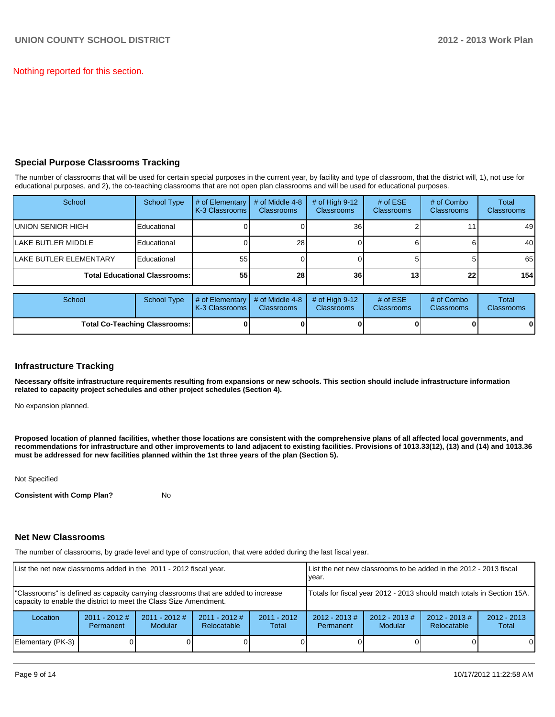Nothing reported for this section.

# **Special Purpose Classrooms Tracking**

The number of classrooms that will be used for certain special purposes in the current year, by facility and type of classroom, that the district will, 1), not use for educational purposes, and 2), the co-teaching classrooms that are not open plan classrooms and will be used for educational purposes.

| School                               | <b>School Type</b> | $#$ of Elementary<br>K-3 Classrooms I | # of Middle 4-8<br><b>Classrooms</b> | # of High $9-12$<br><b>Classrooms</b> | # of $ESE$<br><b>Classrooms</b> | # of Combo<br><b>Classrooms</b> | Total<br>Classrooms |
|--------------------------------------|--------------------|---------------------------------------|--------------------------------------|---------------------------------------|---------------------------------|---------------------------------|---------------------|
| IUNION SENIOR HIGH                   | Educational        |                                       |                                      | 36 <sub>1</sub>                       |                                 |                                 | 49                  |
| <b>ILAKE BUTLER MIDDLE</b>           | Educational        |                                       | 28 <sub>l</sub>                      |                                       |                                 |                                 | 40                  |
| <b>ILAKE BUTLER ELEMENTARY</b>       | Educational        | 55                                    |                                      |                                       |                                 |                                 | 65                  |
| <b>Total Educational Classrooms:</b> |                    | 551                                   | 28                                   | 36                                    | 13 <sub>1</sub>                 | 22                              | 154                 |

| School                               | School Type | # of Elementary  # of Middle 4-8  # of High 9-12<br><b>IK-3 Classrooms I</b> | Classrooms | <b>Classrooms</b> | # of $ESE$<br><b>Classrooms</b> | # of Combo<br><b>Classrooms</b> | Total<br><b>Classrooms</b> |
|--------------------------------------|-------------|------------------------------------------------------------------------------|------------|-------------------|---------------------------------|---------------------------------|----------------------------|
| <b>Total Co-Teaching Classrooms:</b> |             |                                                                              |            |                   |                                 | 0                               | 0                          |

## **Infrastructure Tracking**

**Necessary offsite infrastructure requirements resulting from expansions or new schools. This section should include infrastructure information related to capacity project schedules and other project schedules (Section 4).**

No expansion planned.

**Proposed location of planned facilities, whether those locations are consistent with the comprehensive plans of all affected local governments, and recommendations for infrastructure and other improvements to land adjacent to existing facilities. Provisions of 1013.33(12), (13) and (14) and 1013.36 must be addressed for new facilities planned within the 1st three years of the plan (Section 5).**

Not Specified

**Consistent with Comp Plan?** No

### **Net New Classrooms**

The number of classrooms, by grade level and type of construction, that were added during the last fiscal year.

| List the net new classrooms added in the 2011 - 2012 fiscal year.                                                                                       | List the net new classrooms to be added in the 2012 - 2013 fiscal<br>vear. |                                   |                                |                        |                                      |                            |                                 |                        |
|---------------------------------------------------------------------------------------------------------------------------------------------------------|----------------------------------------------------------------------------|-----------------------------------|--------------------------------|------------------------|--------------------------------------|----------------------------|---------------------------------|------------------------|
| "Classrooms" is defined as capacity carrying classrooms that are added to increase<br>capacity to enable the district to meet the Class Size Amendment. | Totals for fiscal year 2012 - 2013 should match totals in Section 15A.     |                                   |                                |                        |                                      |                            |                                 |                        |
| Location                                                                                                                                                | $2011 - 2012$ #<br>Permanent                                               | $2011 - 2012$ #<br><b>Modular</b> | $2011 - 2012$ #<br>Relocatable | $2011 - 2012$<br>Total | $2012 - 2013 \#$<br><b>Permanent</b> | $2012 - 2013$ #<br>Modular | $2012 - 2013 \#$<br>Relocatable | $2012 - 2013$<br>Total |
| Elementary (PK-3)                                                                                                                                       |                                                                            |                                   |                                |                        |                                      |                            |                                 | $\Omega$               |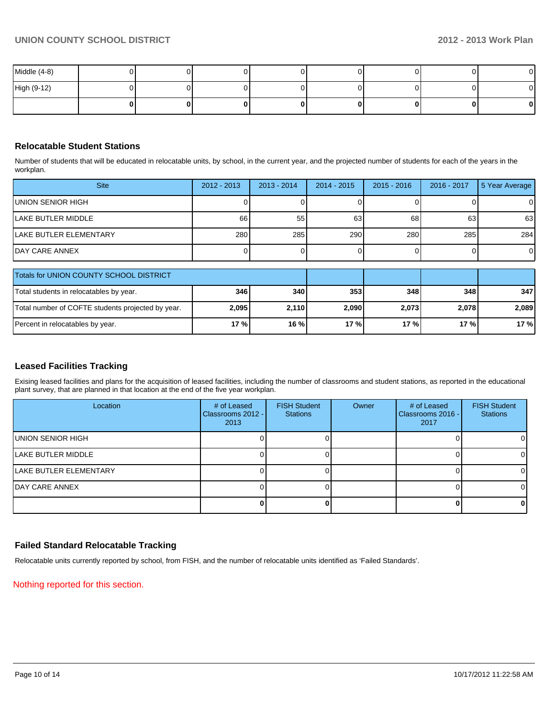| Middle (4-8) |  |  |    |    | $\mathbf{0}$ |
|--------------|--|--|----|----|--------------|
| High (9-12)  |  |  |    |    | $\mathbf{0}$ |
|              |  |  | ΩI | ΩI | $\mathbf{0}$ |

# **Relocatable Student Stations**

Number of students that will be educated in relocatable units, by school, in the current year, and the projected number of students for each of the years in the workplan.

| <b>Site</b>                    | $2012 - 2013$ | $2013 - 2014$ | $2014 - 2015$ | $2015 - 2016$ | 2016 - 2017 | 5 Year Average |
|--------------------------------|---------------|---------------|---------------|---------------|-------------|----------------|
| IUNION SENIOR HIGH             |               |               |               |               |             | $\overline{0}$ |
| <b>ILAKE BUTLER MIDDLE</b>     | 66            | 55            | 63            | 68            | 63          | 63             |
| <b>ILAKE BUTLER ELEMENTARY</b> | 280           | 285           | 290           | 280           | 285         | 284            |
| <b>IDAY CARE ANNEX</b>         |               |               |               |               |             | $\overline{0}$ |

| Totals for UNION COUNTY SCHOOL DISTRICT           |       |              |       |       |       |       |
|---------------------------------------------------|-------|--------------|-------|-------|-------|-------|
| Total students in relocatables by year.           | 346   | 340          | 353   | 348   | 348   | 347   |
| Total number of COFTE students projected by year. | 2,095 | <b>2.110</b> | 2,090 | 2.073 | 2,078 | 2.089 |
| Percent in relocatables by year.                  | 17 %l | 16%          | 17 %  | 17%   | 17%   | 17%   |

# **Leased Facilities Tracking**

Exising leased facilities and plans for the acquisition of leased facilities, including the number of classrooms and student stations, as reported in the educational plant survey, that are planned in that location at the end of the five year workplan.

| Location                       | # of Leased<br>Classrooms 2012 - I<br>2013 | <b>FISH Student</b><br><b>Stations</b> | Owner | # of Leased<br>Classrooms 2016 -<br>2017 | <b>FISH Student</b><br><b>Stations</b> |
|--------------------------------|--------------------------------------------|----------------------------------------|-------|------------------------------------------|----------------------------------------|
| <b>IUNION SENIOR HIGH</b>      |                                            |                                        |       |                                          | $\overline{0}$                         |
| <b>ILAKE BUTLER MIDDLE</b>     |                                            |                                        |       |                                          | $\Omega$                               |
| <b>ILAKE BUTLER ELEMENTARY</b> |                                            |                                        |       |                                          | $\Omega$                               |
| IDAY CARE ANNEX                |                                            |                                        |       |                                          | $\Omega$                               |
|                                |                                            |                                        |       |                                          | 01                                     |

# **Failed Standard Relocatable Tracking**

Relocatable units currently reported by school, from FISH, and the number of relocatable units identified as 'Failed Standards'.

Nothing reported for this section.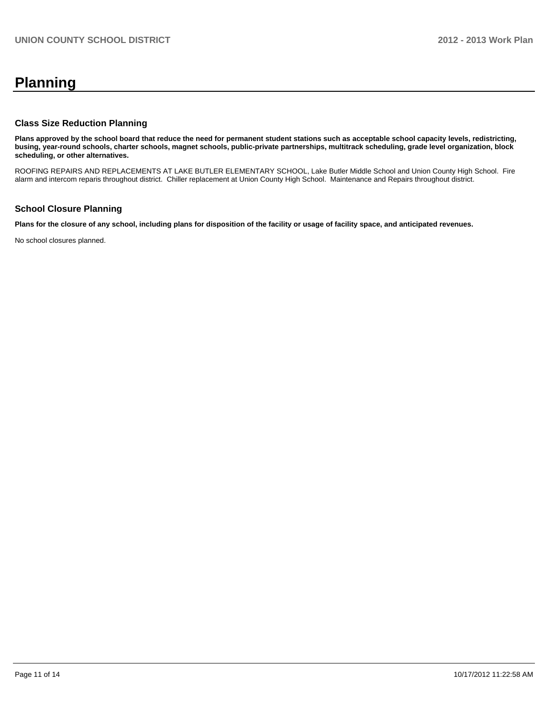# **Planning**

# **Class Size Reduction Planning**

**Plans approved by the school board that reduce the need for permanent student stations such as acceptable school capacity levels, redistricting, busing, year-round schools, charter schools, magnet schools, public-private partnerships, multitrack scheduling, grade level organization, block scheduling, or other alternatives.**

ROOFING REPAIRS AND REPLACEMENTS AT LAKE BUTLER ELEMENTARY SCHOOL, Lake Butler Middle School and Union County High School. Fire alarm and intercom reparis throughout district. Chiller replacement at Union County High School. Maintenance and Repairs throughout district.

## **School Closure Planning**

**Plans for the closure of any school, including plans for disposition of the facility or usage of facility space, and anticipated revenues.**

No school closures planned.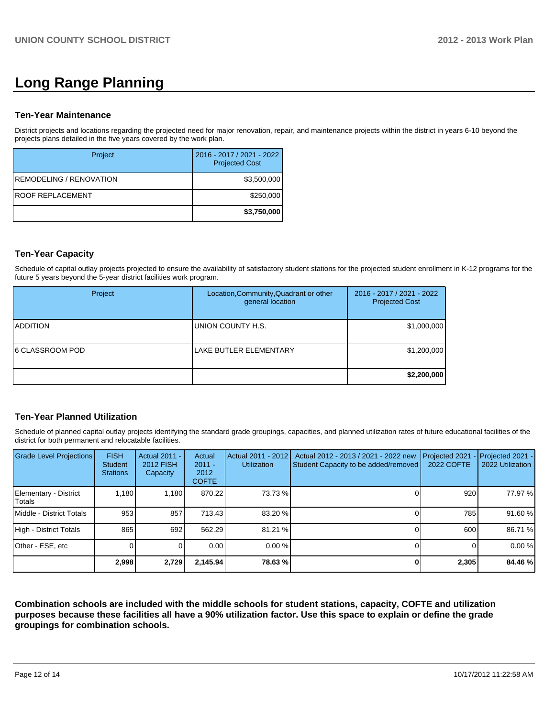# **Long Range Planning**

# **Ten-Year Maintenance**

District projects and locations regarding the projected need for major renovation, repair, and maintenance projects within the district in years 6-10 beyond the projects plans detailed in the five years covered by the work plan.

| Project                 | 2016 - 2017 / 2021 - 2022<br><b>Projected Cost</b> |
|-------------------------|----------------------------------------------------|
| REMODELING / RENOVATION | \$3,500,000                                        |
| IROOF REPLACEMENT       | \$250,000                                          |
|                         | \$3,750,000                                        |

# **Ten-Year Capacity**

Schedule of capital outlay projects projected to ensure the availability of satisfactory student stations for the projected student enrollment in K-12 programs for the future 5 years beyond the 5-year district facilities work program.

| Project                 | Location, Community, Quadrant or other<br>general location | 2016 - 2017 / 2021 - 2022<br><b>Projected Cost</b> |
|-------------------------|------------------------------------------------------------|----------------------------------------------------|
| <b>ADDITION</b>         | <b>IUNION COUNTY H.S.</b>                                  | \$1,000,000                                        |
| <b>16 CLASSROOM POD</b> | LAKE BUTLER ELEMENTARY                                     | \$1,200,000                                        |
|                         |                                                            | \$2,200,000                                        |

# **Ten-Year Planned Utilization**

Schedule of planned capital outlay projects identifying the standard grade groupings, capacities, and planned utilization rates of future educational facilities of the district for both permanent and relocatable facilities.

| <b>Grade Level Projections</b>    | <b>FISH</b><br><b>Student</b><br><b>Stations</b> | Actual 2011 -<br><b>2012 FISH</b><br>Capacity | Actual<br>$2011 -$<br>2012<br><b>COFTE</b> | Actual 2011 - 2012<br><b>Utilization</b> | Actual 2012 - 2013 / 2021 - 2022 new<br>Student Capacity to be added/removed | Projected 2021<br><b>2022 COFTE</b> | Projected 2021 -<br>2022 Utilization |
|-----------------------------------|--------------------------------------------------|-----------------------------------------------|--------------------------------------------|------------------------------------------|------------------------------------------------------------------------------|-------------------------------------|--------------------------------------|
| Elementary - District<br>l Totals | 1.180                                            | 1.180 <b>I</b>                                | 870.22                                     | 73.73 %                                  |                                                                              | 920                                 | 77.97 %                              |
| Middle - District Totals          | 953                                              | 857                                           | 713.43                                     | 83.20 %                                  |                                                                              | 785                                 | 91.60 %                              |
| High - District Totals            | 865                                              | 692                                           | 562.29                                     | 81.21 %                                  |                                                                              | 600                                 | 86.71 %                              |
| Other - ESE, etc                  |                                                  |                                               | 0.00                                       | 0.00%                                    |                                                                              |                                     | 0.00%                                |
|                                   | 2,998                                            | 2,729                                         | 2,145.94                                   | 78.63%                                   |                                                                              | 2,305                               | 84.46 %                              |

**Combination schools are included with the middle schools for student stations, capacity, COFTE and utilization purposes because these facilities all have a 90% utilization factor. Use this space to explain or define the grade groupings for combination schools.**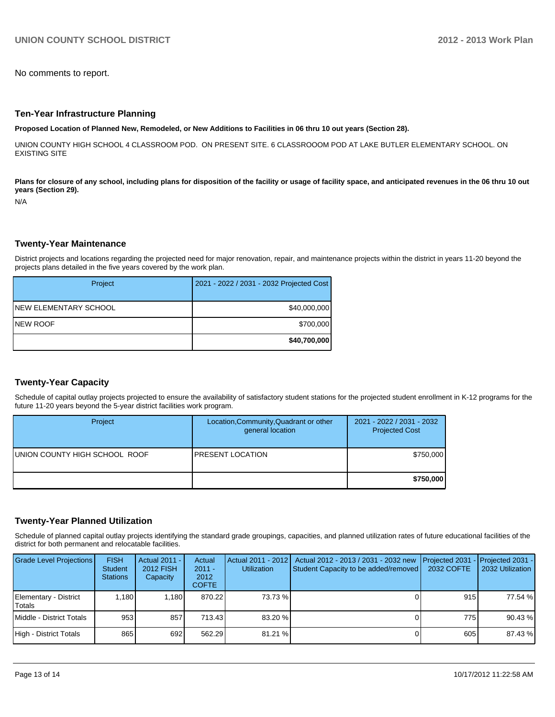No comments to report.

#### **Ten-Year Infrastructure Planning**

**Proposed Location of Planned New, Remodeled, or New Additions to Facilities in 06 thru 10 out years (Section 28).**

UNION COUNTY HIGH SCHOOL 4 CLASSROOM POD. ON PRESENT SITE. 6 CLASSROOOM POD AT LAKE BUTLER ELEMENTARY SCHOOL. ON EXISTING SITE

Plans for closure of any school, including plans for disposition of the facility or usage of facility space, and anticipated revenues in the 06 thru 10 out **years (Section 29).**

N/A

### **Twenty-Year Maintenance**

District projects and locations regarding the projected need for major renovation, repair, and maintenance projects within the district in years 11-20 beyond the projects plans detailed in the five years covered by the work plan.

| Project               | 2021 - 2022 / 2031 - 2032 Projected Cost |
|-----------------------|------------------------------------------|
| NEW ELEMENTARY SCHOOL | \$40,000,000                             |
| INEW ROOF             | \$700,000                                |
|                       | \$40,700,000                             |

## **Twenty-Year Capacity**

Schedule of capital outlay projects projected to ensure the availability of satisfactory student stations for the projected student enrollment in K-12 programs for the future 11-20 years beyond the 5-year district facilities work program.

| Project                       | Location, Community, Quadrant or other<br>general location | 2021 - 2022 / 2031 - 2032<br><b>Projected Cost</b> |
|-------------------------------|------------------------------------------------------------|----------------------------------------------------|
| UNION COUNTY HIGH SCHOOL ROOF | <b>IPRESENT LOCATION</b>                                   | \$750,000                                          |
|                               |                                                            | \$750,000                                          |

## **Twenty-Year Planned Utilization**

Schedule of planned capital outlay projects identifying the standard grade groupings, capacities, and planned utilization rates of future educational facilities of the district for both permanent and relocatable facilities.

| <b>Grade Level Projections</b>  | <b>FISH</b><br><b>Student</b><br><b>Stations</b> | Actual 2011 -<br>2012 FISH<br>Capacity | Actual<br>$2011 -$<br>2012<br><b>COFTE</b> | <b>Utilization</b> | Actual 2011 - 2012   Actual 2012 - 2013 / 2031 - 2032 new<br>Student Capacity to be added/removed | <b>IProjected 2031 - IProjected 2031 -</b><br>2032 COFTE | 2032 Utilization |
|---------------------------------|--------------------------------------------------|----------------------------------------|--------------------------------------------|--------------------|---------------------------------------------------------------------------------------------------|----------------------------------------------------------|------------------|
| Elementary - District<br>Totals | 1.180                                            | 1.180                                  | 870.22                                     | 73.73 %            |                                                                                                   | 915                                                      | 77.54 %          |
| Middle - District Totals        | 953                                              | 857                                    | 713.43                                     | 83.20 %            |                                                                                                   | 775 I                                                    | 90.43 %          |
| High - District Totals          | 865                                              | 692                                    | 562.29                                     | 81.21 %            |                                                                                                   | 605                                                      | 87.43 %          |